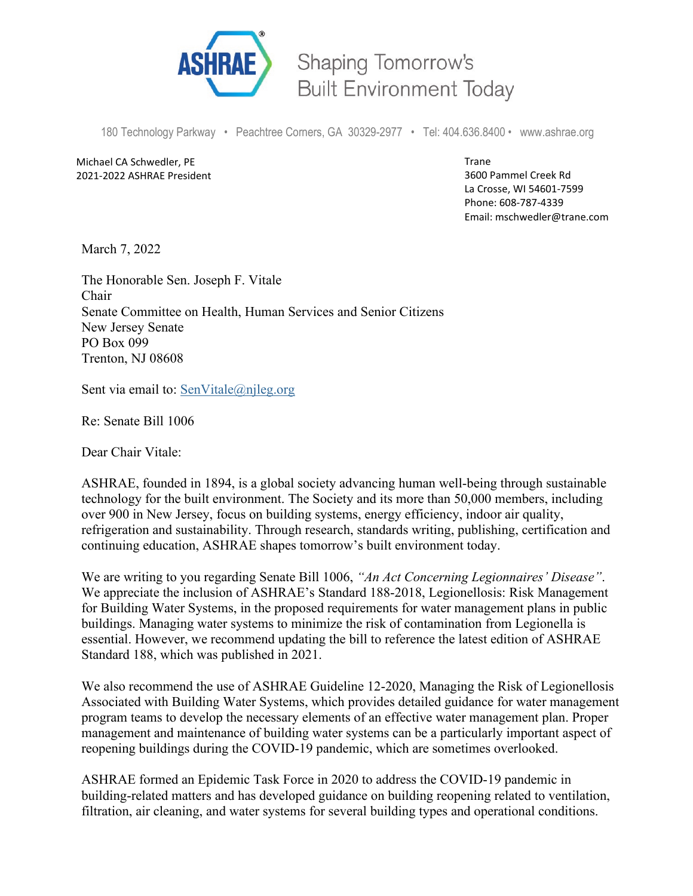

Shaping Tomorrow's **Built Environment Today** 

180 Technology Parkway • Peachtree Corners, GA 30329-2977 • Tel: 404.636.8400 • www.ashrae.org

Michael CA Schwedler, PE 2021-2022 ASHRAE President Trane 3600 Pammel Creek Rd La Crosse, WI 54601-7599 Phone: 608-787-4339 Email: mschwedler@trane.com

March 7, 2022

The Honorable Sen. Joseph F. Vitale Chair Senate Committee on Health, Human Services and Senior Citizens New Jersey Senate PO Box 099 Trenton, NJ 08608

Sent via email to: [SenVitale@njleg.org](mailto:senvitale@njleg.org)

Re: Senate Bill 1006

Dear Chair Vitale:

ASHRAE, founded in 1894, is a global society advancing human well-being through sustainable technology for the built environment. The Society and its more than 50,000 members, including over 900 in New Jersey, focus on building systems, energy efficiency, indoor air quality, refrigeration and sustainability. Through research, standards writing, publishing, certification and continuing education, ASHRAE shapes tomorrow's built environment today.

We are writing to you regarding Senate Bill 1006, *"An Act Concerning Legionnaires' Disease"*. We appreciate the inclusion of ASHRAE's Standard 188-2018, Legionellosis: Risk Management for Building Water Systems, in the proposed requirements for water management plans in public buildings. Managing water systems to minimize the risk of contamination from Legionella is essential. However, we recommend updating the bill to reference the latest edition of ASHRAE Standard 188, which was published in 2021.

We also recommend the use of ASHRAE Guideline 12-2020, Managing the Risk of Legionellosis Associated with Building Water Systems, which provides detailed guidance for water management program teams to develop the necessary elements of an effective water management plan. Proper management and maintenance of building water systems can be a particularly important aspect of reopening buildings during the COVID-19 pandemic, which are sometimes overlooked.

ASHRAE formed an Epidemic Task Force in 2020 to address the COVID-19 pandemic in building-related matters and has developed guidance on building reopening related to ventilation, filtration, air cleaning, and water systems for several building types and operational conditions.